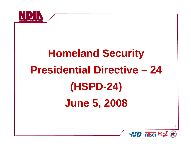

## **Homeland Security Presidential Directive 24 (HSPD -24) June 5 2008 5,**

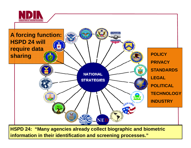



**HSPD 24: "Many agencies already collect biographic and biometric information in their identification and screening processes."**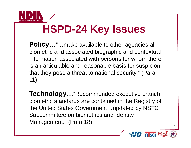

### **HSPD-24 Key Issues 24**

**Policy...**"...make available to other agencies all biometric and associated biographic and contextual information associated with persons for whom there is an articulable and reasonable basis for suspicion that they pose a threat to national security." (Para 11)

**Technology...** "Recommended executive branch biometric standards are contained in the Registry of the United States Government…updated by NSTC Subcommittee on biometrics and Identity  $M$ anagement." (Para 18)  $\frac{1}{3}$ 

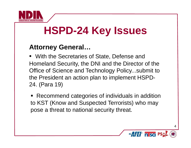

## **HSPD-24 Key Issues**

#### **Attorne General Attorney General…**

• With the Secretaries of State, Defense and Homeland Security, the DNI and the Director of the Office of Science and Technology Policy...submit to the President an action plan to implement HSPD-24. (Para 19)

■ Recommend categories of individuals in addition to KST (Know and Suspected Terrorists) who may pose a threat to national security threat.

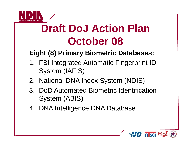

# **Draft DoJ Action Plan October 08**

#### **Eight (8) Primary Biometric Databases:**

- 1. FBI Integrated Automatic Fingerprint ID System (IAFIS)
- 2. National DNA Index System (NDIS)
- 3. DoD Automated Biometric Identification System (ABIS)
- 4. DNA Intelligence DNA Database

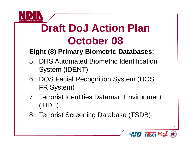

# **Draft DoJ Action Plan October 08**

#### **Eight (8) Primary Biometric Databases:**

- 5. DHS Automated Biometric Identification System (IDENT)
- 6. DOS Facial Recognition System (DOS FR System)
- 7. Terrorist Identities Datamart Environment (TIDE)
- 8. Terrorist Screening Database (TSDB)

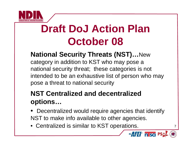

## **Draft DoJ Action Plan October 08**

#### **National Security Threats (NST)... New**

category in addition to KST who may pose a national security threat; these categories is not intended to be an exhaustive list of person who may pose <sup>a</sup> threat to national security

#### **NST Centralized and decentralized options …**

- • Decentralized would require agencies that identify NST to make info available to other a gencies.
- Centralized is similar to KST operations.

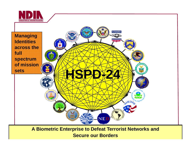



**A Biometric Enterprise to Defeat Terrorist Networks and Secure our Borders**